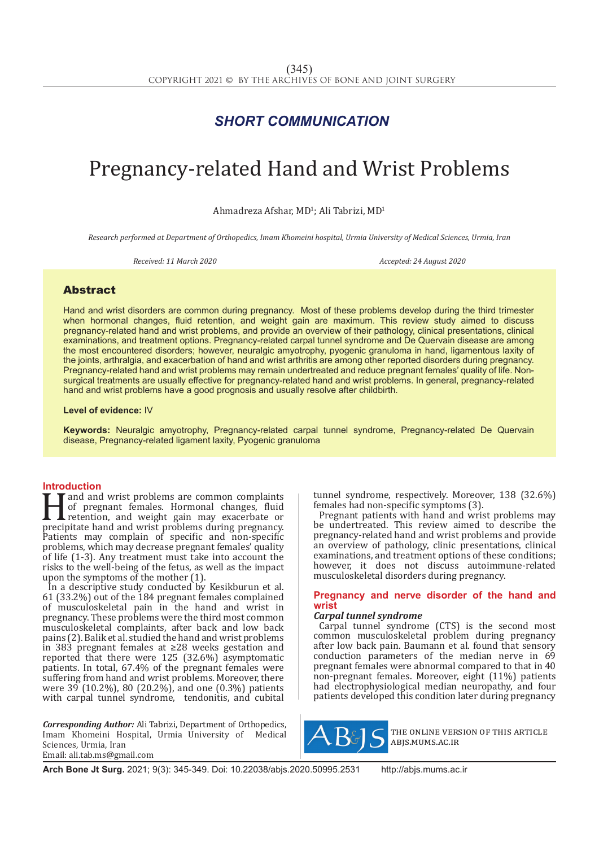## *SHORT COMMUNICATION*

# Pregnancy-related Hand and Wrist Problems

 $A$ hmadreza  $A$ fshar, MD<sup>1</sup>; Ali Tabrizi, MD<sup>1</sup>

*Research performed at Department of Orthopedics, Imam Khomeini hospital, Urmia University of Medical Sciences, Urmia, Iran*

*Received: 11 March 2020 Accepted: 24 August 2020*

### Abstract

Hand and wrist disorders are common during pregnancy. Most of these problems develop during the third trimester when hormonal changes, fluid retention, and weight gain are maximum. This review study aimed to discuss pregnancy-related hand and wrist problems, and provide an overview of their pathology, clinical presentations, clinical examinations, and treatment options. Pregnancy-related carpal tunnel syndrome and De Quervain disease are among the most encountered disorders; however, neuralgic amyotrophy, pyogenic granuloma in hand, ligamentous laxity of the joints, arthralgia, and exacerbation of hand and wrist arthritis are among other reported disorders during pregnancy. Pregnancy-related hand and wrist problems may remain undertreated and reduce pregnant females' quality of life. Nonsurgical treatments are usually effective for pregnancy-related hand and wrist problems. In general, pregnancy-related hand and wrist problems have a good prognosis and usually resolve after childbirth.

#### **Level of evidence:** IV

**Keywords:** Neuralgic amyotrophy, Pregnancy-related carpal tunnel syndrome, Pregnancy-related De Quervain disease, Pregnancy-related ligament laxity, Pyogenic granuloma

**Introduction**<br>**T T** and and wrist problems are common complaints I and and wrist problems are common complaints<br>of pregnant females. Hormonal changes, fluid<br>retention, and weight gain may exacerbate or<br>precipitate hand and wrist problems during pregnancy.<br>Patients may complain of specif of pregnant females. Hormonal changes, fluid retention, and weight gain may exacerbate or precipitate hand and wrist problems during pregnancy. Patients may complain of specific and non-specific problems, which may decrease pregnant females' quality of life (1-3). Any treatment must take into account the risks to the well-being of the fetus, as well as the impact upon the symptoms of the mother (1).

In a descriptive study conducted by Kesikburun et al. 61 (33.2%) out of the 184 pregnant females complained of musculoskeletal pain in the hand and wrist in pregnancy. These problems were the third most common musculoskeletal complaints, after back and low back pains (2). Balik et al. studied the hand and wrist problems in 383 pregnant females at ≥28 weeks gestation and reported that there were 125 (32.6%) asymptomatic patients. In total, 67.4% of the pregnant females were suffering from hand and wrist problems. Moreover, there were 39 (10.2%), 80 (20.2%), and one (0.3%) patients with carpal tunnel syndrome, tendonitis, and cubital

*Corresponding Author:* Ali Tabrizi, Department of Orthopedics, Imam Khomeini Hospital, Urmia University of Medical Sciences, Urmia, Iran Email: ali.tab.ms@gmail.com

tunnel syndrome, respectively. Moreover, 138 (32.6%) females had non-specific symptoms (3).

Pregnant patients with hand and wrist problems may be undertreated. This review aimed to describe the pregnancy-related hand and wrist problems and provide an overview of pathology, clinic presentations, clinical examinations, and treatment options of these conditions; however, it does not discuss autoimmune-related musculoskeletal disorders during pregnancy.

#### **Pregnancy and nerve disorder of the hand and wrist**

#### *Carpal tunnel syndrome*

Carpal tunnel syndrome (CTS) is the second most common musculoskeletal problem during pregnancy after low back pain. Baumann et al. found that sensory conduction parameters of the median nerve in 69 pregnant females were abnormal compared to that in 40 non-pregnant females. Moreover, eight (11%) patients had electrophysiological median neuropathy, and four patients developed this condition later during pregnancy



the online version of this article abjs.mums.ac.ir

**Arch Bone Jt Surg.** 2021; 9(3): 345-349. Doi: 10.22038/abjs.2020.50995.2531 http://abjs.mums.ac.ir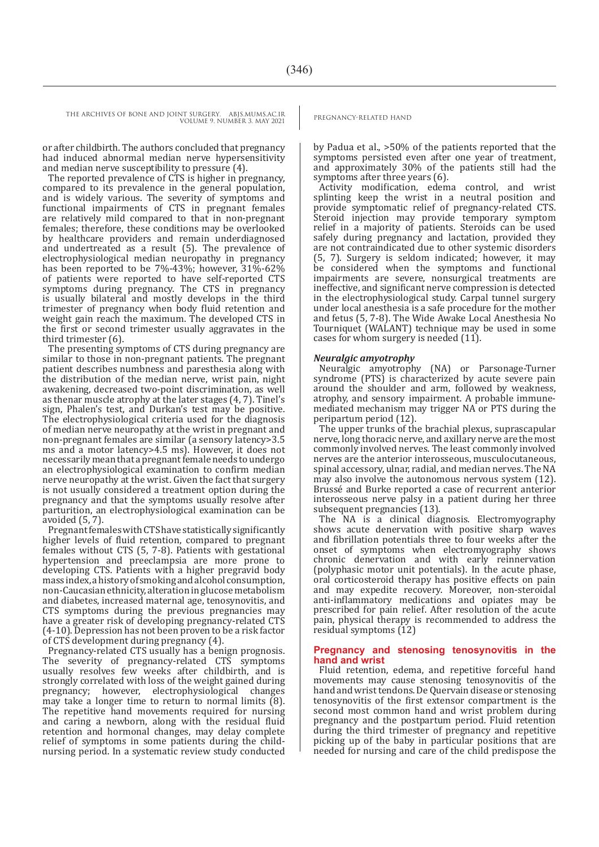THE ARCHIVES OF BONE AND JOINT SURGERY. ABJS.MUMS.AC.IR PREGNANCY-RELATED HAND VOLUME 9. NUMBER 3. MAY 2021

or after childbirth. The authors concluded that pregnancy had induced abnormal median nerve hypersensitivity and median nerve susceptibility to pressure (4).

The reported prevalence of CTS is higher in pregnancy, compared to its prevalence in the general population, and is widely various. The severity of symptoms and functional impairments of CTS in pregnant females are relatively mild compared to that in non-pregnant females; therefore, these conditions may be overlooked by healthcare providers and remain underdiagnosed and undertreated as a result (5). The prevalence of electrophysiological median neuropathy in pregnancy has been reported to be 7%-43%; however,  $31\%$ -62% of patients were reported to have self-reported CTS symptoms during pregnancy. The CTS in pregnancy is usually bilateral and mostly develops in the third trimester of pregnancy when body fluid retention and weight gain reach the maximum. The developed CTS in the first or second trimester usually aggravates in the third trimester (6).

The presenting symptoms of CTS during pregnancy are similar to those in non-pregnant patients. The pregnant patient describes numbness and paresthesia along with the distribution of the median nerve, wrist pain, night awakening, decreased two-point discrimination, as well as thenar muscle atrophy at the later stages (4, 7). Tinel's sign, Phalen's test, and Durkan's test may be positive. The electrophysiological criteria used for the diagnosis of median nerve neuropathy at the wrist in pregnant and non-pregnant females are similar (a sensory latency>3.5 ms and a motor latency>4.5 ms). However, it does not necessarily mean that a pregnant female needs to undergo an electrophysiological examination to confirm median nerve neuropathy at the wrist. Given the fact that surgery is not usually considered a treatment option during the pregnancy and that the symptoms usually resolve after parturition, an electrophysiological examination can be avoided (5, 7).

Pregnant females with CTS have statistically significantly higher levels of fluid retention, compared to pregnant females without CTS (5, 7-8). Patients with gestational hypertension and preeclampsia are more prone to developing CTS. Patients with a higher pregravid body mass index, a history of smoking and alcohol consumption, non-Caucasian ethnicity, alteration in glucose metabolism and diabetes, increased maternal age, tenosynovitis, and CTS symptoms during the previous pregnancies may have a greater risk of developing pregnancy-related CTS (4-10). Depression has not been proven to be a risk factor of CTS development during pregnancy (4).

Pregnancy-related CTS usually has a benign prognosis. The severity of pregnancy-related CTS symptoms usually resolves few weeks after childbirth, and is strongly correlated with loss of the weight gained during pregnancy; however, electrophysiological changes may take a longer time to return to normal limits (8). The repetitive hand movements required for nursing and caring a newborn, along with the residual fluid retention and hormonal changes, may delay complete relief of symptoms in some patients during the childnursing period. In a systematic review study conducted

by Padua et al., >50% of the patients reported that the symptoms persisted even after one year of treatment, and approximately 30% of the patients still had the symptoms after three years (6).

Activity modification, edema control, and wrist splinting keep the wrist in a neutral position and provide symptomatic relief of pregnancy-related CTS. Steroid injection may provide temporary symptom relief in a majority of patients. Steroids can be used safely during pregnancy and lactation, provided they are not contraindicated due to other systemic disorders (5, 7). Surgery is seldom indicated; however, it may be considered when the symptoms and functional impairments are severe, nonsurgical treatments are ineffective, and significant nerve compression is detected in the electrophysiological study. Carpal tunnel surgery under local anesthesia is a safe procedure for the mother and fetus (5, 7-8). The Wide Awake Local Anesthesia No Tourniquet (WALANT) technique may be used in some cases for whom surgery is needed (11).

#### *Neuralgic amyotrophy*

Neuralgic amyotrophy (NA) or Parsonage-Turner syndrome (PTS) is characterized by acute severe pain around the shoulder and arm, followed by weakness, atrophy, and sensory impairment. A probable immunemediated mechanism may trigger NA or PTS during the peripartum period (12).

The upper trunks of the brachial plexus, suprascapular nerve, long thoracic nerve, and axillary nerve are the most commonly involved nerves. The least commonly involved nerves are the anterior interosseous, musculocutaneous, spinal accessory, ulnar, radial, and median nerves. The NA may also involve the autonomous nervous system (12). Brussé and Burke reported a case of recurrent anterior interosseous nerve palsy in a patient during her three subsequent pregnancies (13).

The NA is a clinical diagnosis. Electromyography shows acute denervation with positive sharp waves and fibrillation potentials three to four weeks after the onset of symptoms when electromyography shows chronic denervation and with early reinnervation (polyphasic motor unit potentials). In the acute phase, oral corticosteroid therapy has positive effects on pain and may expedite recovery. Moreover, non-steroidal anti-inflammatory medications and opiates may be prescribed for pain relief. After resolution of the acute pain, physical therapy is recommended to address the residual symptoms (12)

#### **Pregnancy and stenosing tenosynovitis in the hand and wrist**

Fluid retention, edema, and repetitive forceful hand movements may cause stenosing tenosynovitis of the hand and wrist tendons. De Quervain disease or stenosing tenosynovitis of the first extensor compartment is the second most common hand and wrist problem during pregnancy and the postpartum period. Fluid retention during the third trimester of pregnancy and repetitive picking up of the baby in particular positions that are needed for nursing and care of the child predispose the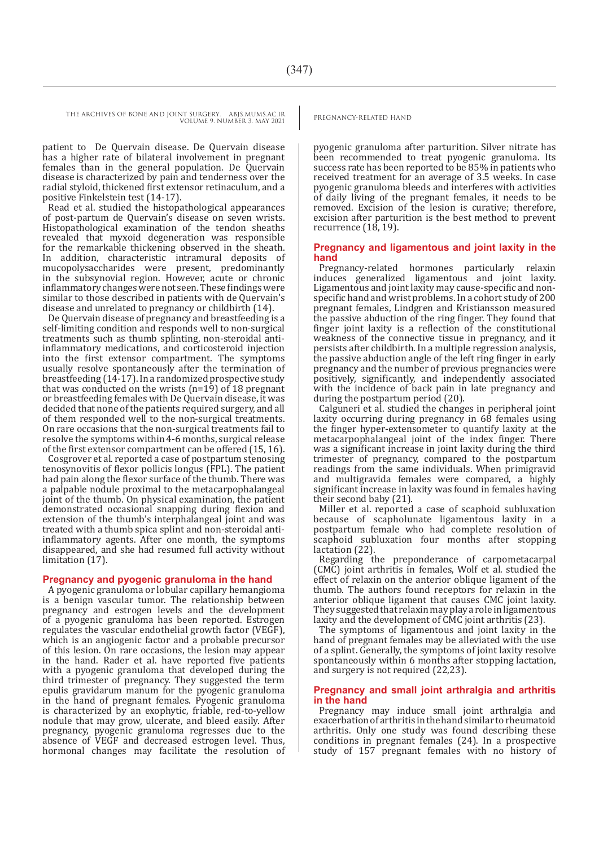patient to De Quervain disease. De Quervain disease has a higher rate of bilateral involvement in pregnant females than in the general population. De Quervain disease is characterized by pain and tenderness over the radial styloid, thickened first extensor retinaculum, and a positive Finkelstein test (14-17).

Read et al. studied the histopathological appearances of post-partum de Quervain's disease on seven wrists. Histopathological examination of the tendon sheaths revealed that myxoid degeneration was responsible for the remarkable thickening observed in the sheath. In addition, characteristic intramural deposits of mucopolysaccharides were present, predominantly in the subsynovial region. However, acute or chronic inflammatory changes were not seen. These findings were similar to those described in patients with de Quervain's disease and unrelated to pregnancy or childbirth (14).

De Quervain disease of pregnancy and breastfeeding is a self-limiting condition and responds well to non-surgical treatments such as thumb splinting, non-steroidal antiinflammatory medications, and corticosteroid injection into the first extensor compartment. The symptoms usually resolve spontaneously after the termination of breastfeeding (14-17). In a randomized prospective study that was conducted on the wrists  $(n=19)$  of 18 pregnant or breastfeeding females with De Quervain disease, it was decided that none of the patients required surgery, and all of them responded well to the non-surgical treatments. On rare occasions that the non-surgical treatments fail to resolve the symptoms within 4-6 months, surgical release of the first extensor compartment can be offered (15, 16).

Cosgrover et al. reported a case of postpartum stenosing tenosynovitis of flexor pollicis longus (FPL). The patient had pain along the flexor surface of the thumb. There was a palpable nodule proximal to the metacarpophalangeal joint of the thumb. On physical examination, the patient demonstrated occasional snapping during flexion and extension of the thumb's interphalangeal joint and was treated with a thumb spica splint and non-steroidal antiinflammatory agents. After one month, the symptoms disappeared, and she had resumed full activity without limitation (17).

#### **Pregnancy and pyogenic granuloma in the hand**

A pyogenic granuloma or lobular capillary hemangioma is a benign vascular tumor. The relationship between pregnancy and estrogen levels and the development of a pyogenic granuloma has been reported. Estrogen regulates the vascular endothelial growth factor (VEGF), which is an angiogenic factor and a probable precursor of this lesion. On rare occasions, the lesion may appear in the hand. Rader et al. have reported five patients with a pyogenic granuloma that developed during the third trimester of pregnancy. They suggested the term epulis gravidarum manum for the pyogenic granuloma in the hand of pregnant females. Pyogenic granuloma is characterized by an exophytic, friable, red-to-yellow nodule that may grow, ulcerate, and bleed easily. After pregnancy, pyogenic granuloma regresses due to the absence of VEGF and decreased estrogen level. Thus, hormonal changes may facilitate the resolution of pyogenic granuloma after parturition. Silver nitrate has been recommended to treat pyogenic granuloma. Its success rate has been reported to be 85% in patients who received treatment for an average of 3.5 weeks. In case pyogenic granuloma bleeds and interferes with activities of daily living of the pregnant females, it needs to be removed. Excision of the lesion is curative; therefore, excision after parturition is the best method to prevent

recurrence (18, 19).

#### **Pregnancy and ligamentous and joint laxity in the hand**

Pregnancy-related hormones particularly relaxin induces generalized ligamentous and joint laxity. Ligamentous and joint laxity may cause-specific and nonspecific hand and wrist problems. In a cohort study of 200 pregnant females, Lindgren and Kristiansson measured the passive abduction of the ring finger. They found that finger joint laxity is a reflection of the constitutional weakness of the connective tissue in pregnancy, and it persists after childbirth. In a multiple regression analysis, the passive abduction angle of the left ring finger in early pregnancy and the number of previous pregnancies were positively, significantly, and independently associated with the incidence of back pain in late pregnancy and during the postpartum period (20).

Calguneri et al. studied the changes in peripheral joint laxity occurring during pregnancy in 68 females using the finger hyper-extensometer to quantify laxity at the metacarpophalangeal joint of the index finger. There was a significant increase in joint laxity during the third trimester of pregnancy, compared to the postpartum readings from the same individuals. When primigravid and multigravida females were compared, a highly significant increase in laxity was found in females having their second baby (21).

Miller et al. reported a case of scaphoid subluxation because of scapholunate ligamentous laxity in a postpartum female who had complete resolution of scaphoid subluxation four months after stopping lactation (22).

Regarding the preponderance of carpometacarpal (CMC) joint arthritis in females, Wolf et al. studied the effect of relaxin on the anterior oblique ligament of the thumb. The authors found receptors for relaxin in the anterior oblique ligament that causes CMC joint laxity. They suggested that relaxin may play a role in ligamentous laxity and the development of CMC joint arthritis (23).

The symptoms of ligamentous and joint laxity in the hand of pregnant females may be alleviated with the use of a splint. Generally, the symptoms of joint laxity resolve spontaneously within 6 months after stopping lactation, and surgery is not required (22,23).

#### **Pregnancy and small joint arthralgia and arthritis in the hand**

Pregnancy may induce small joint arthralgia and exacerbation of arthritis in the hand similar to rheumatoid arthritis. Only one study was found describing these conditions in pregnant females (24). In a prospective study of 157 pregnant females with no history of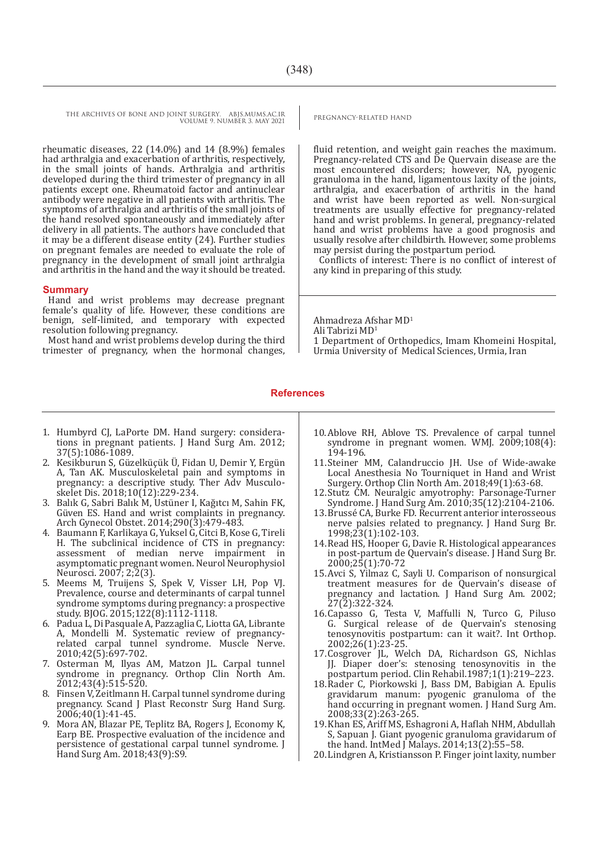THE ARCHIVES OF BONE AND JOINT SURGERY. ABJS.MUMS.AC.IR PREGNANCY-RELATED HAND VOLUME 9. NUMBER 3. MAY 2021

rheumatic diseases, 22 (14.0%) and 14 (8.9%) females had arthralgia and exacerbation of arthritis, respectively, in the small joints of hands. Arthralgia and arthritis developed during the third trimester of pregnancy in all patients except one. Rheumatoid factor and antinuclear antibody were negative in all patients with arthritis. The symptoms of arthralgia and arthritis of the small joints of the hand resolved spontaneously and immediately after delivery in all patients. The authors have concluded that it may be a different disease entity (24). Further studies on pregnant females are needed to evaluate the role of pregnancy in the development of small joint arthralgia and arthritis in the hand and the way it should be treated.

#### **Summary**

Hand and wrist problems may decrease pregnant female's quality of life. However, these conditions are benign, self-limited, and temporary with expected resolution following pregnancy.

Most hand and wrist problems develop during the third trimester of pregnancy, when the hormonal changes,

fluid retention, and weight gain reaches the maximum. Pregnancy-related CTS and De Quervain disease are the most encountered disorders; however, NA, pyogenic granuloma in the hand, ligamentous laxity of the joints, arthralgia, and exacerbation of arthritis in the hand and wrist have been reported as well. Non-surgical treatments are usually effective for pregnancy-related hand and wrist problems. In general, pregnancy-related hand and wrist problems have a good prognosis and usually resolve after childbirth. However, some problems may persist during the postpartum period.

Conflicts of interest: There is no conflict of interest of any kind in preparing of this study.

Ahmadreza Afshar MD1 Ali Tabrizi MD1 1 Department of Orthopedics, Imam Khomeini Hospital, Urmia University of Medical Sciences, Urmia, Iran

### **References**

- 1. Humbyrd CJ, LaPorte DM. Hand surgery: considerations in pregnant patients. J Hand Surg Am. 2012; 37(5):1086-1089.
- 2. Kesikburun S, Güzelküçük Ü, Fidan U, Demir Y, Ergün A, Tan AK. Musculoskeletal pain and symptoms in pregnancy: a descriptive study. Ther Adv Musculoskelet Dis. 2018;10(12):229-234.
- 3. Balık G, Sabri Balık M, Ustüner I, Kağıtcı M, Sahin FK, Güven ES. Hand and wrist complaints in pregnancy. Arch Gynecol Obstet. 2014;290(3):479-483.
- 4. Baumann F, Karlikaya G, Yuksel G, Citci B, Kose G, Tireli H. The subclinical incidence of CTS in pregnancy: assessment of median nerve impairment in asymptomatic pregnant women. Neurol Neurophysiol Neurosci. 2007; 2;2(3).
- 5. Meems M, Truijens S, Spek V, Visser LH, Pop VJ. Prevalence, course and determinants of carpal tunnel syndrome symptoms during pregnancy: a prospective study. BJOG. 2015;122(8):1112-1118.
- 6. Padua L, Di Pasquale A, Pazzaglia C, Liotta GA, Librante A, Mondelli M. Systematic review of pregnancyrelated carpal tunnel syndrome. Muscle Nerve. 2010;42(5):697-702.
- 7. Osterman M, Ilyas AM, Matzon JL. Carpal tunnel syndrome in pregnancy. Orthop Clin North Am.  $2012;43(4):515-520.$
- 8. Finsen V, Zeitlmann H. Carpal tunnel syndrome during pregnancy. Scand J Plast Reconstr Surg Hand Surg. 2006;40(1):41-45.
- 9. Mora AN, Blazar PE, Teplitz BA, Rogers J, Economy K, Earp BE. Prospective evaluation of the incidence and persistence of gestational carpal tunnel syndrome. J Hand Surg Am. 2018;43(9):S9.
- 10.Ablove RH, Ablove TS. Prevalence of carpal tunnel syndrome in pregnant women. WMJ. 2009;108(4): 194-196.
- 11.Steiner MM, Calandruccio JH. Use of Wide-awake Local Anesthesia No Tourniquet in Hand and Wrist Surgery. Orthop Clin North Am. 2018;49(1):63-68.
- 12.Stutz CM. Neuralgic amyotrophy: Parsonage-Turner Syndrome. J Hand Surg Am. 2010;35(12):2104-2106.
- 13.Brussé CA, Burke FD. Recurrent anterior interosseous nerve palsies related to pregnancy. J Hand Surg Br. 1998;23(1):102-103.
- 14.Read HS, Hooper G, Davie R. Histological appearances in post-partum de Quervain's disease. J Hand Surg Br. 2000;25(1):70-72
- 15.Avci S, Yilmaz C, Sayli U. Comparison of nonsurgical treatment measures for de Quervain's disease of pregnancy and lactation. J Hand Surg Am. 2002; 27(2):322-324.
- 16.Capasso G, Testa V, Maffulli N, Turco G, Piluso G. Surgical release of de Quervain's stenosing tenosynovitis postpartum: can it wait?. Int Orthop. 2002;26(1):23-25.
- 17.Cosgrover JL, Welch DA, Richardson GS, Nichlas JJ. Diaper doer's: stenosing tenosynovitis in the postpartum period. Clin Rehabil.1987;1(1):219–223.
- 18.Rader C, Piorkowski J, Bass DM, Babigian A. Epulis gravidarum manum: pyogenic granuloma of the hand occurring in pregnant women. J Hand Surg Am. 2008;33(2):263-265.
- 19.Khan ES, Ariff MS, Eshagroni A, Haflah NHM, Abdullah S, Sapuan J. Giant pyogenic granuloma gravidarum of the hand. IntMed  $\int$  Malays. 2014;13(2):55–58.
- 20.Lindgren A, Kristiansson P. Finger joint laxity, number